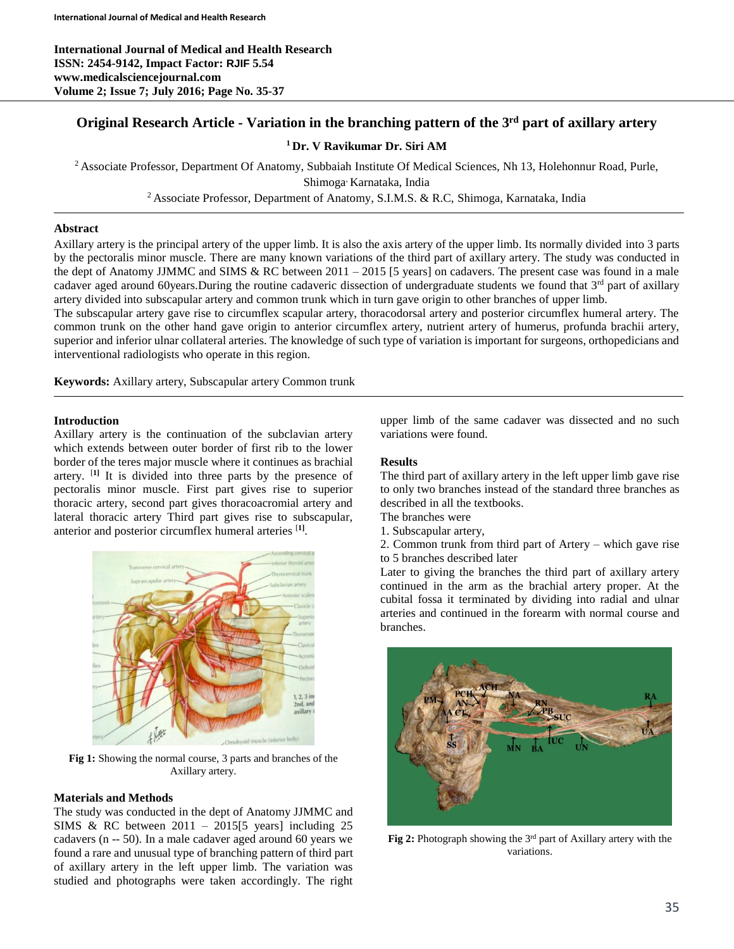# **Original Research Article - Variation in the branching pattern of the 3 rd part of axillary artery**

## **<sup>1</sup> Dr. V Ravikumar Dr. Siri AM**

<sup>2</sup> Associate Professor, Department Of Anatomy, Subbaiah Institute Of Medical Sciences, Nh 13, Holehonnur Road, Purle, Shimoga, Karnataka, India

<sup>2</sup> Associate Professor, Department of Anatomy, S.I.M.S. & R.C, Shimoga, Karnataka, India

## **Abstract**

Axillary artery is the principal artery of the upper limb. It is also the axis artery of the upper limb. Its normally divided into 3 parts by the pectoralis minor muscle. There are many known variations of the third part of axillary artery. The study was conducted in the dept of Anatomy JJMMC and SIMS & RC between 2011 – 2015 [5 years] on cadavers. The present case was found in a male cadaver aged around 60years.During the routine cadaveric dissection of undergraduate students we found that 3<sup>rd</sup> part of axillary artery divided into subscapular artery and common trunk which in turn gave origin to other branches of upper limb.

The subscapular artery gave rise to circumflex scapular artery, thoracodorsal artery and posterior circumflex humeral artery. The common trunk on the other hand gave origin to anterior circumflex artery, nutrient artery of humerus, profunda brachii artery, superior and inferior ulnar collateral arteries. The knowledge of such type of variation is important for surgeons, orthopedicians and interventional radiologists who operate in this region.

**Keywords:** Axillary artery, Subscapular artery Common trunk

### **Introduction**

Axillary artery is the continuation of the subclavian artery which extends between outer border of first rib to the lower border of the teres major muscle where it continues as brachial artery. [**1]** It is divided into three parts by the presence of pectoralis minor muscle. First part gives rise to superior thoracic artery, second part gives thoracoacromial artery and lateral thoracic artery Third part gives rise to subscapular, anterior and posterior circumflex humeral arteries [**1]** .



**Fig 1:** Showing the normal course, 3 parts and branches of the Axillary artery.

### **Materials and Methods**

The study was conducted in the dept of Anatomy JJMMC and SIMS & RC between  $2011 - 2015$ [5 years] including 25 cadavers (n -- 50). In a male cadaver aged around 60 years we found a rare and unusual type of branching pattern of third part of axillary artery in the left upper limb. The variation was studied and photographs were taken accordingly. The right

upper limb of the same cadaver was dissected and no such variations were found.

### **Results**

The third part of axillary artery in the left upper limb gave rise to only two branches instead of the standard three branches as described in all the textbooks.

The branches were

- 1. Subscapular artery,
- 2. Common trunk from third part of Artery which gave rise to 5 branches described later

Later to giving the branches the third part of axillary artery continued in the arm as the brachial artery proper. At the cubital fossa it terminated by dividing into radial and ulnar arteries and continued in the forearm with normal course and branches.



**Fig 2:** Photograph showing the 3<sup>rd</sup> part of Axillary artery with the variations.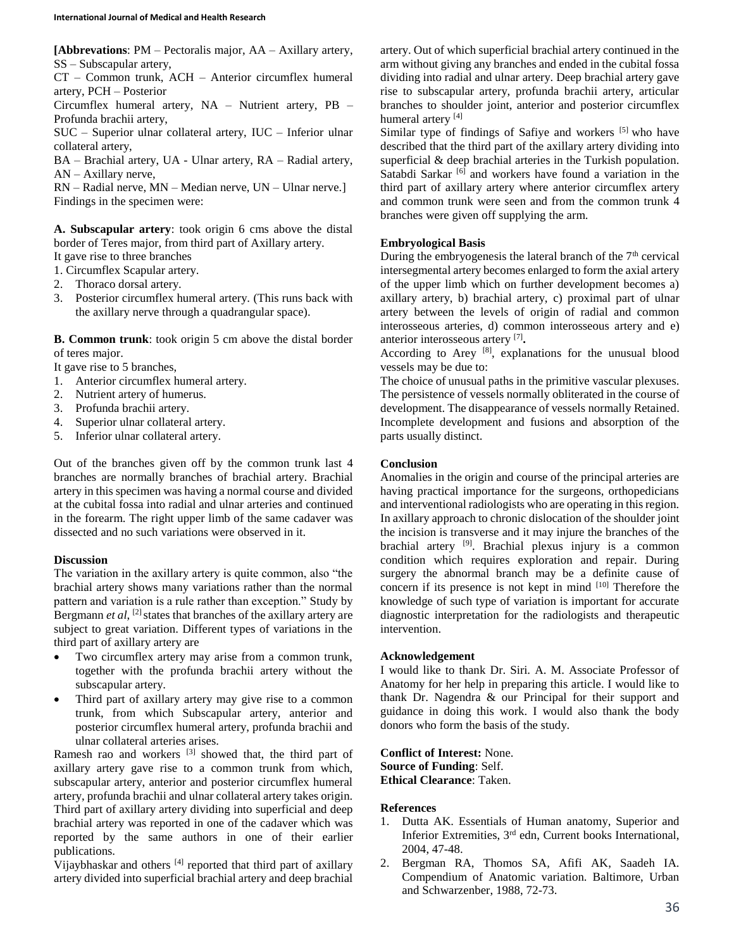**[Abbrevations**: PM – Pectoralis major, AA – Axillary artery, SS – Subscapular artery,

CT – Common trunk, ACH – Anterior circumflex humeral artery, PCH – Posterior

Circumflex humeral artery, NA – Nutrient artery, PB – Profunda brachii artery,

SUC – Superior ulnar collateral artery, IUC – Inferior ulnar collateral artery,

BA – Brachial artery, UA - Ulnar artery, RA – Radial artery, AN – Axillary nerve,

RN – Radial nerve, MN – Median nerve, UN – Ulnar nerve.] Findings in the specimen were:

**A. Subscapular artery**: took origin 6 cms above the distal border of Teres major, from third part of Axillary artery. It gave rise to three branches

1. Circumflex Scapular artery.

- 2. Thoraco dorsal artery.
- 3. Posterior circumflex humeral artery. (This runs back with the axillary nerve through a quadrangular space).

**B. Common trunk**: took origin 5 cm above the distal border of teres major.

It gave rise to 5 branches,

- 1. Anterior circumflex humeral artery.
- 2. Nutrient artery of humerus.
- 3. Profunda brachii artery.
- 4. Superior ulnar collateral artery.
- 5. Inferior ulnar collateral artery.

Out of the branches given off by the common trunk last 4 branches are normally branches of brachial artery. Brachial artery in this specimen was having a normal course and divided at the cubital fossa into radial and ulnar arteries and continued in the forearm. The right upper limb of the same cadaver was dissected and no such variations were observed in it.

### **Discussion**

The variation in the axillary artery is quite common, also "the brachial artery shows many variations rather than the normal pattern and variation is a rule rather than exception." Study by Bergmann *et al*, [2] states that branches of the axillary artery are subject to great variation. Different types of variations in the third part of axillary artery are

- Two circumflex artery may arise from a common trunk, together with the profunda brachii artery without the subscapular artery.
- Third part of axillary artery may give rise to a common trunk, from which Subscapular artery, anterior and posterior circumflex humeral artery, profunda brachii and ulnar collateral arteries arises.

Ramesh rao and workers [3] showed that, the third part of axillary artery gave rise to a common trunk from which, subscapular artery, anterior and posterior circumflex humeral artery, profunda brachii and ulnar collateral artery takes origin. Third part of axillary artery dividing into superficial and deep brachial artery was reported in one of the cadaver which was reported by the same authors in one of their earlier publications.

Vijaybhaskar and others [4] reported that third part of axillary artery divided into superficial brachial artery and deep brachial artery. Out of which superficial brachial artery continued in the arm without giving any branches and ended in the cubital fossa dividing into radial and ulnar artery. Deep brachial artery gave rise to subscapular artery, profunda brachii artery, articular branches to shoulder joint, anterior and posterior circumflex humeral artery<sup>[4]</sup>

Similar type of findings of Safiye and workers [5] who have described that the third part of the axillary artery dividing into superficial & deep brachial arteries in the Turkish population. Satabdi Sarkar<sup>[6]</sup> and workers have found a variation in the third part of axillary artery where anterior circumflex artery and common trunk were seen and from the common trunk 4 branches were given off supplying the arm.

### **Embryological Basis**

During the embryogenesis the lateral branch of the  $7<sup>th</sup>$  cervical intersegmental artery becomes enlarged to form the axial artery of the upper limb which on further development becomes a) axillary artery, b) brachial artery, c) proximal part of ulnar artery between the levels of origin of radial and common interosseous arteries, d) common interosseous artery and e) anterior interosseous artery [7] **.**

According to Arey  $[8]$ , explanations for the unusual blood vessels may be due to:

The choice of unusual paths in the primitive vascular plexuses. The persistence of vessels normally obliterated in the course of development. The disappearance of vessels normally Retained. Incomplete development and fusions and absorption of the parts usually distinct.

#### **Conclusion**

Anomalies in the origin and course of the principal arteries are having practical importance for the surgeons, orthopedicians and interventional radiologists who are operating in this region. In axillary approach to chronic dislocation of the shoulder joint the incision is transverse and it may injure the branches of the brachial artery <sup>[9]</sup>. Brachial plexus injury is a common condition which requires exploration and repair. During surgery the abnormal branch may be a definite cause of concern if its presence is not kept in mind [10] Therefore the knowledge of such type of variation is important for accurate diagnostic interpretation for the radiologists and therapeutic intervention.

### **Acknowledgement**

I would like to thank Dr. Siri. A. M. Associate Professor of Anatomy for her help in preparing this article. I would like to thank Dr. Nagendra & our Principal for their support and guidance in doing this work. I would also thank the body donors who form the basis of the study.

**Conflict of Interest:** None. **Source of Funding**: Self. **Ethical Clearance**: Taken.

### **References**

- 1. Dutta AK. Essentials of Human anatomy, Superior and Inferior Extremities, 3rd edn, Current books International, 2004, 47-48.
- 2. Bergman RA, Thomos SA, Afifi AK, Saadeh IA. Compendium of Anatomic variation. Baltimore, Urban and Schwarzenber, 1988, 72-73.